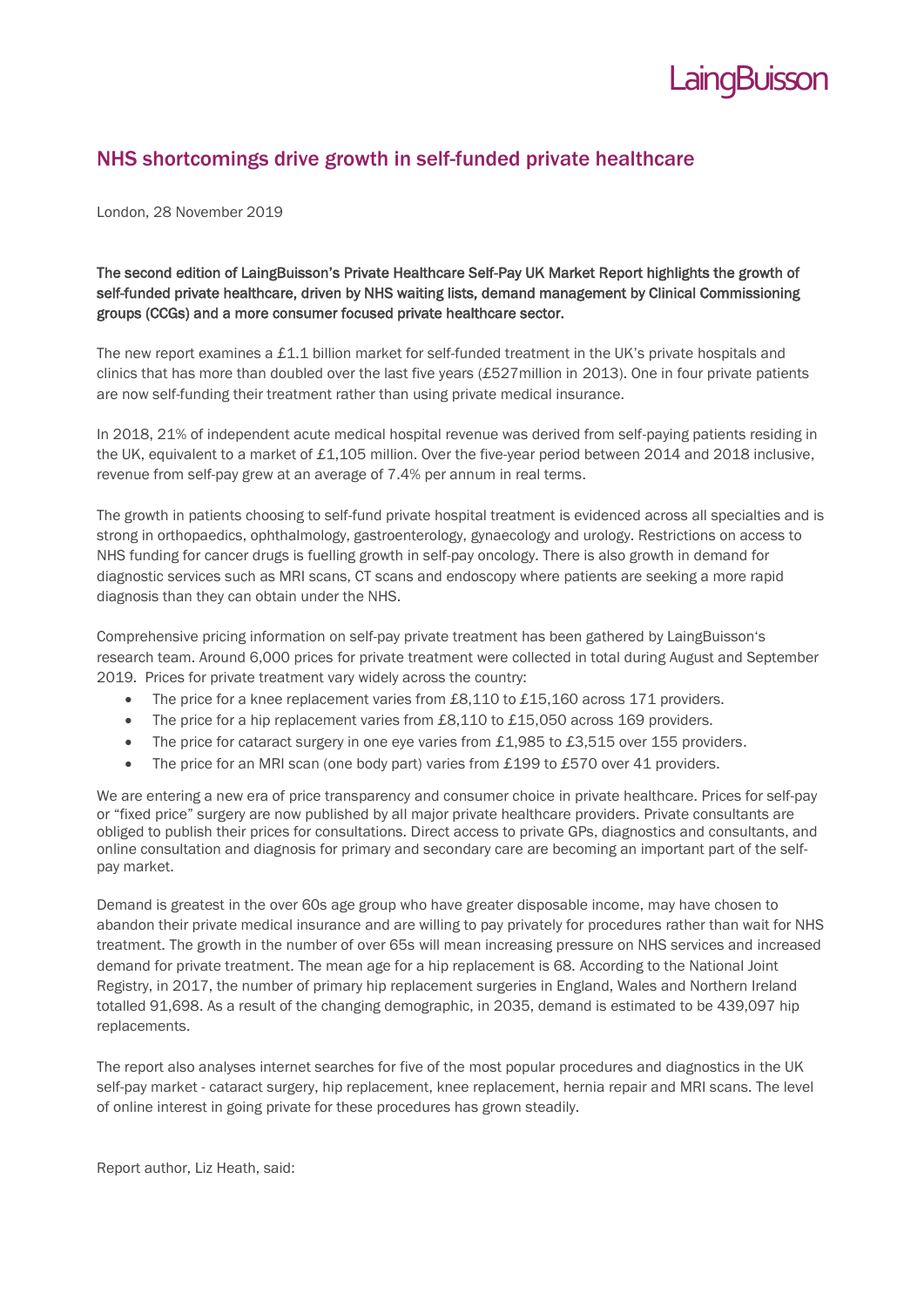

# NHS shortcomings drive growth in self-funded private healthcare

London, 28 November 2019

## The second edition of LaingBuisson's Private Healthcare Self-Pay UK Market Report highlights the growth of self-funded private healthcare, driven by NHS waiting lists, demand management by Clinical Commissioning groups (CCGs) and a more consumer focused private healthcare sector.

The new report examines a £1.1 billion market for self-funded treatment in the UK's private hospitals and clinics that has more than doubled over the last five years (£527million in 2013). One in four private patients are now self-funding their treatment rather than using private medical insurance.

In 2018, 21% of independent acute medical hospital revenue was derived from self-paying patients residing in the UK, equivalent to a market of £1,105 million. Over the five-year period between 2014 and 2018 inclusive, revenue from self-pay grew at an average of 7.4% per annum in real terms.

The growth in patients choosing to self-fund private hospital treatment is evidenced across all specialties and is strong in orthopaedics, ophthalmology, gastroenterology, gynaecology and urology. Restrictions on access to NHS funding for cancer drugs is fuelling growth in self-pay oncology. There is also growth in demand for diagnostic services such as MRI scans, CT scans and endoscopy where patients are seeking a more rapid diagnosis than they can obtain under the NHS.

Comprehensive pricing information on self-pay private treatment has been gathered by LaingBuisson's research team. Around 6,000 prices for private treatment were collected in total during August and September 2019. Prices for private treatment vary widely across the country:

- The price for a knee replacement varies from £8,110 to £15,160 across 171 providers.
- The price for a hip replacement varies from £8,110 to £15,050 across 169 providers.
- The price for cataract surgery in one eye varies from £1,985 to £3,515 over 155 providers.
- The price for an MRI scan (one body part) varies from £199 to £570 over 41 providers.

We are entering a new era of price transparency and consumer choice in private healthcare. Prices for self-pay or "fixed price" surgery are now published by all major private healthcare providers. Private consultants are obliged to publish their prices for consultations. Direct access to private GPs, diagnostics and consultants, and online consultation and diagnosis for primary and secondary care are becoming an important part of the selfpay market.

Demand is greatest in the over 60s age group who have greater disposable income, may have chosen to abandon their private medical insurance and are willing to pay privately for procedures rather than wait for NHS treatment. The growth in the number of over 65s will mean increasing pressure on NHS services and increased demand for private treatment. The mean age for a hip replacement is 68. According to the National Joint Registry, in 2017, the number of primary hip replacement surgeries in England, Wales and Northern Ireland totalled 91,698. As a result of the changing demographic, in 2035, demand is estimated to be 439,097 hip replacements.

The report also analyses internet searches for five of the most popular procedures and diagnostics in the UK self-pay market - cataract surgery, hip replacement, knee replacement, hernia repair and MRI scans. The level of online interest in going private for these procedures has grown steadily.

Report author, Liz Heath, said: